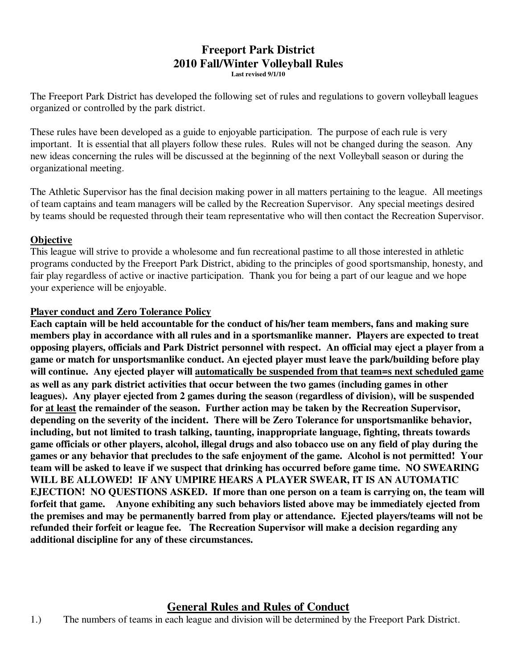#### **Freeport Park District 2010 Fall/Winter Volleyball Rules Last revised 9/1/10**

The Freeport Park District has developed the following set of rules and regulations to govern volleyball leagues organized or controlled by the park district.

These rules have been developed as a guide to enjoyable participation. The purpose of each rule is very important. It is essential that all players follow these rules. Rules will not be changed during the season. Any new ideas concerning the rules will be discussed at the beginning of the next Volleyball season or during the organizational meeting.

The Athletic Supervisor has the final decision making power in all matters pertaining to the league. All meetings of team captains and team managers will be called by the Recreation Supervisor. Any special meetings desired by teams should be requested through their team representative who will then contact the Recreation Supervisor.

### **Objective**

This league will strive to provide a wholesome and fun recreational pastime to all those interested in athletic programs conducted by the Freeport Park District, abiding to the principles of good sportsmanship, honesty, and fair play regardless of active or inactive participation. Thank you for being a part of our league and we hope your experience will be enjoyable.

#### **Player conduct and Zero Tolerance Policy**

**Each captain will be held accountable for the conduct of his/her team members, fans and making sure members play in accordance with all rules and in a sportsmanlike manner. Players are expected to treat opposing players, officials and Park District personnel with respect. An official may eject a player from a game or match for unsportsmanlike conduct. An ejected player must leave the park/building before play will continue. Any ejected player will automatically be suspended from that team=s next scheduled game as well as any park district activities that occur between the two games (including games in other leagues). Any player ejected from 2 games during the season (regardless of division), will be suspended for at least the remainder of the season. Further action may be taken by the Recreation Supervisor, depending on the severity of the incident. There will be Zero Tolerance for unsportsmanlike behavior, including, but not limited to trash talking, taunting, inappropriate language, fighting, threats towards game officials or other players, alcohol, illegal drugs and also tobacco use on any field of play during the games or any behavior that precludes to the safe enjoyment of the game. Alcohol is not permitted! Your team will be asked to leave if we suspect that drinking has occurred before game time. NO SWEARING WILL BE ALLOWED! IF ANY UMPIRE HEARS A PLAYER SWEAR, IT IS AN AUTOMATIC EJECTION! NO QUESTIONS ASKED. If more than one person on a team is carrying on, the team will forfeit that game. Anyone exhibiting any such behaviors listed above may be immediately ejected from the premises and may be permanently barred from play or attendance. Ejected players/teams will not be refunded their forfeit or league fee. The Recreation Supervisor will make a decision regarding any additional discipline for any of these circumstances.**

## **General Rules and Rules of Conduct**

1.) The numbers of teams in each league and division will be determined by the Freeport Park District.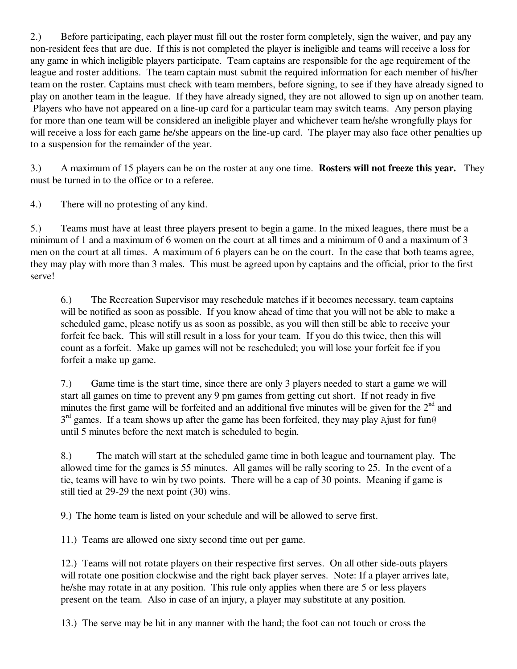2.) Before participating, each player must fill out the roster form completely, sign the waiver, and pay any non-resident fees that are due. If this is not completed the player is ineligible and teams will receive a loss for any game in which ineligible players participate. Team captains are responsible for the age requirement of the league and roster additions. The team captain must submit the required information for each member of his/her team on the roster. Captains must check with team members, before signing, to see if they have already signed to play on another team in the league. If they have already signed, they are not allowed to sign up on another team. Players who have not appeared on a line-up card for a particular team may switch teams. Any person playing for more than one team will be considered an ineligible player and whichever team he/she wrongfully plays for will receive a loss for each game he/she appears on the line-up card. The player may also face other penalties up to a suspension for the remainder of the year.

3.) A maximum of 15 players can be on the roster at any one time. **Rosters will not freeze this year.** They must be turned in to the office or to a referee.

4.) There will no protesting of any kind.

5.) Teams must have at least three players present to begin a game. In the mixed leagues, there must be a minimum of 1 and a maximum of 6 women on the court at all times and a minimum of 0 and a maximum of 3 men on the court at all times. A maximum of 6 players can be on the court. In the case that both teams agree, they may play with more than 3 males. This must be agreed upon by captains and the official, prior to the first serve!

6.) The Recreation Supervisor may reschedule matches if it becomes necessary, team captains will be notified as soon as possible. If you know ahead of time that you will not be able to make a scheduled game, please notify us as soon as possible, as you will then still be able to receive your forfeit fee back. This will still result in a loss for your team. If you do this twice, then this will count as a forfeit. Make up games will not be rescheduled; you will lose your forfeit fee if you forfeit a make up game.

7.) Game time is the start time, since there are only 3 players needed to start a game we will start all games on time to prevent any 9 pm games from getting cut short. If not ready in five minutes the first game will be forfeited and an additional five minutes will be given for the  $2<sup>nd</sup>$  and  $3<sup>rd</sup>$  games. If a team shows up after the game has been forfeited, they may play Ajust for fun@ until 5 minutes before the next match is scheduled to begin.

8.) The match will start at the scheduled game time in both league and tournament play. The allowed time for the games is 55 minutes. All games will be rally scoring to 25. In the event of a tie, teams will have to win by two points. There will be a cap of 30 points. Meaning if game is still tied at 29-29 the next point (30) wins.

9.) The home team is listed on your schedule and will be allowed to serve first.

11.) Teams are allowed one sixty second time out per game.

12.) Teams will not rotate players on their respective first serves. On all other side-outs players will rotate one position clockwise and the right back player serves. Note: If a player arrives late, he/she may rotate in at any position. This rule only applies when there are 5 or less players present on the team. Also in case of an injury, a player may substitute at any position.

13.) The serve may be hit in any manner with the hand; the foot can not touch or cross the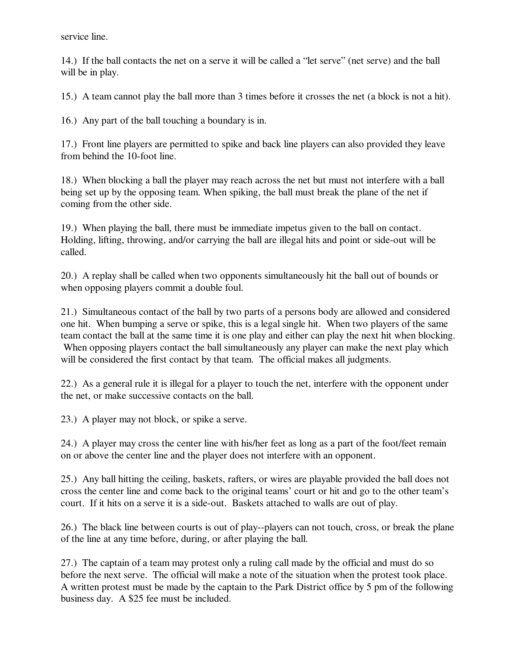service line.

14.) If the ball contacts the net on a serve it will be called a "let serve" (net serve) and the ball will be in play.

15.) A team cannot play the ball more than 3 times before it crosses the net (a block is not a hit).

16.) Any part of the ball touching a boundary is in.

17.) Front line players are permitted to spike and back line players can also provided they leave from behind the 10-foot line.

18.) When blocking a ball the player may reach across the net but must not interfere with a ball being set up by the opposing team. When spiking, the ball must break the plane of the net if coming from the other side.

19.) When playing the ball, there must be immediate impetus given to the ball on contact. Holding, lifting, throwing, and/or carrying the ball are illegal hits and point or side-out will be called.

20.) A replay shall be called when two opponents simultaneously hit the ball out of bounds or when opposing players commit a double foul.

21.) Simultaneous contact of the ball by two parts of a persons body are allowed and considered one hit. When bumping a serve or spike, this is a legal single hit. When two players of the same team contact the ball at the same time it is one play and either can play the next hit when blocking. When opposing players contact the ball simultaneously any player can make the next play which will be considered the first contact by that team. The official makes all judgments.

22.) As a general rule it is illegal for a player to touch the net, interfere with the opponent under the net, or make successive contacts on the ball.

23.) A player may not block, or spike a serve.

24.) A player may cross the center line with his/her feet as long as a part of the foot/feet remain on or above the center line and the player does not interfere with an opponent.

25.) Any ball hitting the ceiling, baskets, rafters, or wires are playable provided the ball does not cross the center line and come back to the original teams' court or hit and go to the other team's court. If it hits on a serve it is a side-out. Baskets attached to walls are out of play.

26.) The black line between courts is out of play--players can not touch, cross, or break the plane of the line at any time before, during, or after playing the ball.

27.) The captain of a team may protest only a ruling call made by the official and must do so before the next serve. The official will make a note of the situation when the protest took place. A written protest must be made by the captain to the Park District office by 5 pm of the following business day. A \$25 fee must be included.